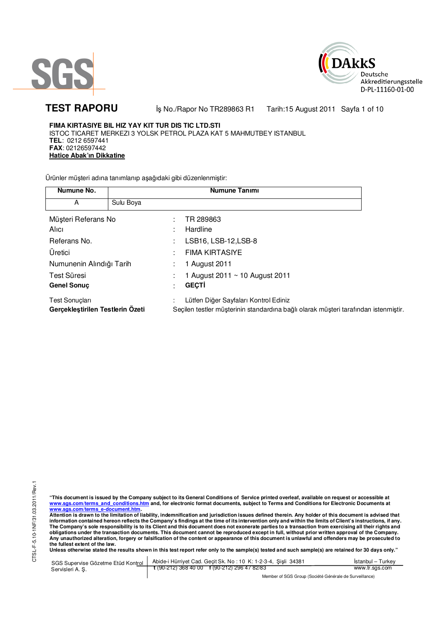



**TEST RAPORU** iş No./Rapor No TR289863 R1 Tarih:15 August 2011 Sayfa 1 of 10

**FIMA KIRTASIYE BIL HIZ YAY KIT TUR DIS TIC LTD.STI**  ISTOC TICARET MERKEZI 3 YOLSK PETROL PLAZA KAT 5 MAHMUTBEY ISTANBUL **TEL**: 0212 6597441 **FAX**: 02126597442 **Hatice Abak'ın Dikkatine**

Ürünler müşteri adına tanımlanıp aşağıdaki gibi düzenlenmiştir:

| Numune No.                                         |           | <b>Numune Tanımı</b>                                                                                                         |  |
|----------------------------------------------------|-----------|------------------------------------------------------------------------------------------------------------------------------|--|
| A                                                  | Sulu Boya |                                                                                                                              |  |
| Müşteri Referans No<br>Alici                       |           | TR 289863<br>Hardline                                                                                                        |  |
| Referans No.                                       |           | LSB16, LSB-12, LSB-8                                                                                                         |  |
| Uretici                                            |           | <b>FIMA KIRTASIYE</b>                                                                                                        |  |
| Numunenin Alındığı Tarih                           |           | 1 August 2011                                                                                                                |  |
| Test Süresi<br><b>Genel Sonuc</b>                  |           | 1 August 2011 ~ 10 August 2011<br><b>GEÇTİ</b>                                                                               |  |
| Test Sonuçları<br>Gerçekleştirilen Testlerin Ozeti |           | Lütfen Diğer Sayfaları Kontrol Ediniz<br>Seçilen testler müşterinin standardına bağlı olarak müşteri tarafından istenmiştir. |  |

"This document is issued by the Company subject to its General Conditions of Service printed overleaf, available on request or accessible at<br>www.sgs.com/terms\_and\_conditions.htm\_and, for electronic format documents, subjec <mark>www.sgs.com/terms\_e-document.htm.</mark><br>Attention is drawn to the limitation of liability, indemnification and jurisdiction issues defined therein. Any holder of this document is advised that

information contained hereon reflects the Company's findings at the time of its intervention only and within the limits of Client's instructions, if any.<br>The Company's sole responsibility is to its Client and this document **obligations under the transaction documents. This document cannot be reproduced except in full, without prior written approval of the Company. Any unauthorized alteration, forgery or falsification of the content or appearance of this document is unlawful and offenders may be prosecuted to the fullest extent of the law.** 

Unless otherwise stated the results shown in this test report refer only to the sample(s) tested and such sample(s) are retained for 30 days only."

SGS Supervise Gözetme Etüd Kontrol Servisleri A. Ş. Abide-i Hürriyet Cad. Geçit Sk. No : 10 K: 1-2-3-4, Şişli 34381 **t** (90-212) 368 40 00 **f** (90-212) 296 47 82/83 İstanbul – Turkey www.tr.sgs.com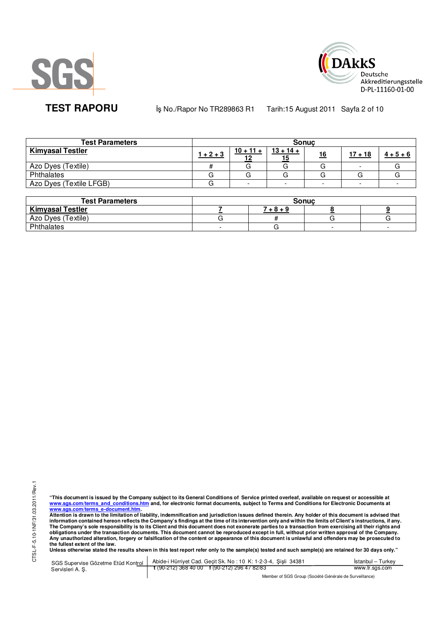



**TEST RAPORU** iş No./Rapor No TR289863 R1 Tarih:15 August 2011 Sayfa 2 of 10

| <b>Test Parameters</b>  | <b>Sonuc</b> |             |             |           |           |             |  |  |  |
|-------------------------|--------------|-------------|-------------|-----------|-----------|-------------|--|--|--|
| <b>Kimyasal Testler</b> | $1 + 2 + 3$  | $10 + 11 +$ | $13 + 14 +$ | <u>16</u> | $17 + 18$ | $4 + 5 + 6$ |  |  |  |
| Azo Dyes (Textile)      |              |             | G           |           |           |             |  |  |  |
| Phthalates              |              |             |             |           |           |             |  |  |  |
| Azo Dyes (Textile LFGB) |              | -           |             |           |           |             |  |  |  |

| <b>Test Parameters</b>  | <b>Sonuc</b> |             |  |  |  |  |  |
|-------------------------|--------------|-------------|--|--|--|--|--|
| <b>Kimyasal Testler</b> |              | $7 + 8 + 9$ |  |  |  |  |  |
| Azo Dyes (Textile)      |              |             |  |  |  |  |  |
| Phthalates              |              |             |  |  |  |  |  |

"This document is issued by the Company subject to its General Conditions of Service printed overleaf, available on request or accessible at<br>www.sgs.com/terms\_and\_conditions.htm\_and, for electronic format documents, subjec <mark>www.sgs.com/terms\_e-document.htm.</mark><br>Attention is drawn to the limitation of liability, indemnification and jurisdiction issues defined therein. Any holder of this document is advised that

information contained hereon reflects the Company's findings at the time of its intervention only and within the limits of Client's instructions, if any.<br>The Company's sole responsibility is to its Client and this document obligations under the transaction documents. This document cannot be reproduced except in full, without prior written approval of the Company.<br>Any unauthorized alteration, forgery or falsification of the content or appeara

SGS Supervise Gözetme Etüd Kontrol Servisleri A. Ş. Abide-i Hürriyet Cad. Geçit Sk. No : 10 K: 1-2-3-4, Şişli 34381 **t** (90-212) 368 40 00 **f** (90-212) 296 47 82/83 İstanbul – Turkey www.tr.sgs.com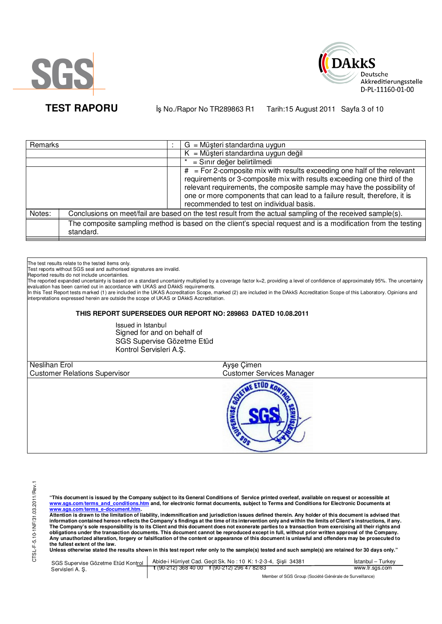



**TEST RAPORU** iş No./Rapor No TR289863 R1 Tarih:15 August 2011 Sayfa 3 of 10

| Remarks |           | $G = M\ddot{\mu}$ şteri standardına uygun                                                                                                                                                                                                                                                                                                                 |
|---------|-----------|-----------------------------------------------------------------------------------------------------------------------------------------------------------------------------------------------------------------------------------------------------------------------------------------------------------------------------------------------------------|
|         |           | $K = M\ddot{\mu}$ şteri standardına uygun değil                                                                                                                                                                                                                                                                                                           |
|         |           | = Sınır değer belirtilmedi                                                                                                                                                                                                                                                                                                                                |
|         |           | $#$ = For 2-composite mix with results exceeding one half of the relevant<br>requirements or 3-composite mix with results exceeding one third of the<br>relevant requirements, the composite sample may have the possibility of<br>one or more components that can lead to a failure result, therefore, it is<br>recommended to test on individual basis. |
| Notes:  |           | Conclusions on meet/fail are based on the test result from the actual sampling of the received sample(s).                                                                                                                                                                                                                                                 |
|         | standard. | The composite sampling method is based on the client's special request and is a modification from the testing                                                                                                                                                                                                                                             |

The test results relate to the tested items only.

Test reports without SGS seal and authorised signatures are invalid.

Reported results do not include uncertainties.

The reported expanded uncertainty is based on a standard uncertainty multiplied by a coverage factor k=2, providing a level of confidence of approximately 95%. The uncertainty evaluation has been carried out in accordance with UKAS and DAkkS requirements.<br>In this Test Report tests marked (1) are included in the UKAS Accreditation Scope, marked (2) are included in the DAkkS Accreditation Scope of

interpretations expressed herein are outside the scope of UKAS or DAkkS Accreditation.

## **THIS REPORT SUPERSEDES OUR REPORT NO: 289863 DATED 10.08.2011**

Issued in Istanbul Signed for and on behalf of SGS Supervise Gözetme Etüd Kontrol Servisleri A.Ş.

| Neslihan Erol                        | Ayşe Çimen                       |  |
|--------------------------------------|----------------------------------|--|
| <b>Customer Relations Supervisor</b> | <b>Customer Services Manager</b> |  |
|                                      |                                  |  |

"This document is issued by the Company subject to its General Conditions of Service printed overleaf, available on request or accessible at<br>www.sgs.com/terms\_and\_conditions.htm\_and, for electronic format documents, subjec

<mark>www.sgs.com/terms\_e-document.htm.</mark><br>Attention is drawn to the limitation of liability, indemnification and jurisdiction issues defined therein. Any holder of this document is advised that information contained hereon reflects the Company's findings at the time of its intervention only and within the limits of Client's instructions, if any.<br>The Company's sole responsibility is to its Client and this document **obligations under the transaction documents. This document cannot be reproduced except in full, without prior written approval of the Company. Any unauthorized alteration, forgery or falsification of the content or appearance of this document is unlawful and offenders may be prosecuted to the fullest extent of the law.** 

Unless otherwise stated the results shown in this test report refer only to the sample(s) tested and such sample(s) are retained for 30 days only."

| Servisleri A. S. | SGS Supervise Gözetme Etüd Kontrol   Abide-i Hürriyet Cad. Geçit Sk. No: 10 K: 1-2-3-4, Şişli 34381      | Istanbul - Turkey |
|------------------|----------------------------------------------------------------------------------------------------------|-------------------|
|                  | $\frac{1}{2}$ (90-212) 368 40 00 f (90-212) 296 47 82/83                                                 | www.tr.sgs.com    |
|                  | $M_{\rm BH}$ . The state of $\sim$ $\sim$ $M_{\rm BH}$ is the $\sim$ $M_{\rm BH}$ is the state of $\sim$ |                   |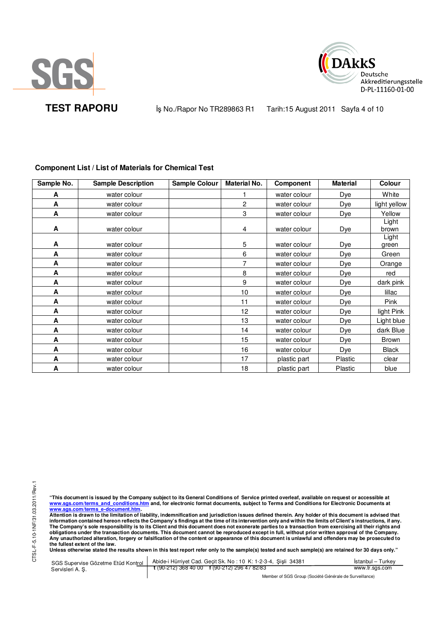



**TEST RAPORU** iş No./Rapor No TR289863 R1 Tarih:15 August 2011 Sayfa 4 of 10

| Sample No. | <b>Sample Description</b> | Sample Colour | <b>Material No.</b> | Component    | <b>Material</b> | Colour         |
|------------|---------------------------|---------------|---------------------|--------------|-----------------|----------------|
| A          | water colour              |               |                     | water colour | Dye             | White          |
| A          | water colour              |               | 2                   | water colour | Dye             | light yellow   |
| A          | water colour              |               | 3                   | water colour | Dye             | Yellow         |
| A          | water colour              |               | 4                   | water colour | Dye             | Light<br>brown |
| A          | water colour              |               | 5                   | water colour | Dye             | Light<br>green |
| A          | water colour              |               | 6                   | water colour | Dye             | Green          |
| A          | water colour              |               | 7                   | water colour | Dye             | Orange         |
| A          | water colour              |               | 8                   | water colour | Dye             | red            |
| A          | water colour              |               | 9                   | water colour | Dye             | dark pink      |
| A          | water colour              |               | 10                  | water colour | Dye             | lillac         |
| A          | water colour              |               | 11                  | water colour | Dye             | <b>Pink</b>    |
| A          | water colour              |               | 12                  | water colour | Dye             | light Pink     |
| A          | water colour              |               | 13                  | water colour | Dye             | Light blue     |
| A          | water colour              |               | 14                  | water colour | Dye             | dark Blue      |
| A          | water colour              |               | 15                  | water colour | Dye             | <b>Brown</b>   |
| A          | water colour              |               | 16                  | water colour | Dye             | <b>Black</b>   |
| A          | water colour              |               | 17                  | plastic part | Plastic         | clear          |
| A          | water colour              |               | 18                  | plastic part | Plastic         | blue           |

# **Component List / List of Materials for Chemical Test**

"This document is issued by the Company subject to its General Conditions of Service printed overleaf, available on request or accessible at<br>www.sgs.com/terms\_and\_conditions.htm\_and, for electronic format documents, subjec <mark>www.sgs.com/terms\_e-document.htm.</mark><br>Attention is drawn to the limitation of liability, indemnification and jurisdiction issues defined therein. Any holder of this document is advised that

information contained hereon reflects the Company's findings at the time of its intervention only and within the limits of Client's instructions, if any.<br>The Company's sole responsibility is to its Client and this document **obligations under the transaction documents. This document cannot be reproduced except in full, without prior written approval of the Company. Any unauthorized alteration, forgery or falsification of the content or appearance of this document is unlawful and offenders may be prosecuted to the fullest extent of the law.** 

**Unless otherwise stated the results shown in this test report refer only to the sample(s) tested and such sample(s) are retained for 30 days only."** 

SGS Supervise Gözetme Etüd Kontrol Servisleri A. Ş. Abide-i Hürriyet Cad. Geçit Sk. No : 10 K: 1-2-3-4, Şişli 34381 **t** (90-212) 368 40 00 **f** (90-212) 296 47 82/83 İstanbul – Turkey www.tr.sgs.com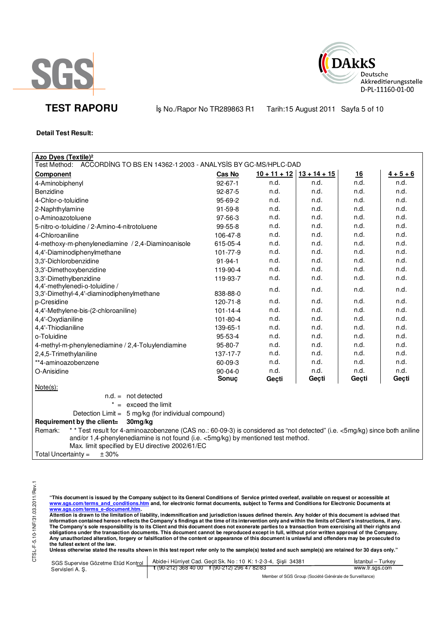



**TEST RAPORU** iş No./Rapor No TR289863 R1 Tarih:15 August 2011 Sayfa 5 of 10

### **Detail Test Result:**

| Azo Dyes (Textile) <sup>2</sup><br>Test Method:<br>ACCORDING TO BS EN 14362-1:2003 - ANALYSIS BY GC-MS/HPLC-DAD                                                                                                                                                              |                |       |                               |           |             |
|------------------------------------------------------------------------------------------------------------------------------------------------------------------------------------------------------------------------------------------------------------------------------|----------------|-------|-------------------------------|-----------|-------------|
| <b>Component</b>                                                                                                                                                                                                                                                             | Cas No         |       | $10 + 11 + 12$ $13 + 14 + 15$ | <u>16</u> | $4 + 5 + 6$ |
| 4-Aminobiphenyl                                                                                                                                                                                                                                                              | $92 - 67 - 1$  | n.d.  | n.d.                          | n.d.      | n.d.        |
| Benzidine                                                                                                                                                                                                                                                                    | $92 - 87 - 5$  | n.d.  | n.d.                          | n.d.      | n.d.        |
| 4-Chlor-o-toluidine                                                                                                                                                                                                                                                          | 95-69-2        | n.d.  | n.d.                          | n.d.      | n.d.        |
| 2-Naphthylamine                                                                                                                                                                                                                                                              | $91 - 59 - 8$  | n.d.  | n.d.                          | n.d.      | n.d.        |
| o-Aminoazotoluene                                                                                                                                                                                                                                                            | 97-56-3        | n.d.  | n.d.                          | n.d.      | n.d.        |
| 5-nitro-o-toluidine / 2-Amino-4-nitrotoluene                                                                                                                                                                                                                                 | 99-55-8        | n.d.  | n.d.                          | n.d.      | n.d.        |
| 4-Chloroaniline                                                                                                                                                                                                                                                              | 106-47-8       | n.d.  | n.d.                          | n.d.      | n.d.        |
| 4-methoxy-m-phenylenediamine / 2,4-Diaminoanisole                                                                                                                                                                                                                            | 615-05-4       | n.d.  | n.d.                          | n.d.      | n.d.        |
| 4,4'-Diaminodiphenylmethane                                                                                                                                                                                                                                                  | 101-77-9       | n.d.  | n.d.                          | n.d.      | n.d.        |
| 3,3'-Dichlorobenzidine                                                                                                                                                                                                                                                       | $91 - 94 - 1$  | n.d.  | n.d.                          | n.d.      | n.d.        |
| 3,3'-Dimethoxybenzidine                                                                                                                                                                                                                                                      | 119-90-4       | n.d.  | n.d.                          | n.d.      | n.d.        |
| 3,3'-Dimethylbenzidine                                                                                                                                                                                                                                                       | 119-93-7       | n.d.  | n.d.                          | n.d.      | n.d.        |
| 4,4'-methylenedi-o-toluidine /<br>3,3'-Dimethyl-4,4'-diaminodiphenylmethane                                                                                                                                                                                                  | 838-88-0       | n.d.  | n.d.                          | n.d.      | n.d.        |
| p-Cresidine                                                                                                                                                                                                                                                                  | 120-71-8       | n.d.  | n.d.                          | n.d.      | n.d.        |
| 4,4'-Methylene-bis-(2-chloroaniline)                                                                                                                                                                                                                                         | $101 - 14 - 4$ | n.d.  | n.d.                          | n.d.      | n.d.        |
| 4,4'-Oxydianiline                                                                                                                                                                                                                                                            | 101-80-4       | n.d.  | n.d.                          | n.d.      | n.d.        |
| 4,4'-Thiodianiline                                                                                                                                                                                                                                                           | 139-65-1       | n.d.  | n.d.                          | n.d.      | n.d.        |
| o-Toluidine                                                                                                                                                                                                                                                                  | 95-53-4        | n.d.  | n.d.                          | n.d.      | n.d.        |
| 4-methyl-m-phenylenediamine / 2,4-Toluylendiamine                                                                                                                                                                                                                            | 95-80-7        | n.d.  | n.d.                          | n.d.      | n.d.        |
| 2,4,5-Trimethylaniline                                                                                                                                                                                                                                                       | 137-17-7       | n.d.  | n.d.                          | n.d.      | n.d.        |
| **4-aminoazobenzene                                                                                                                                                                                                                                                          | 60-09-3        | n.d.  | n.d.                          | n.d.      | n.d.        |
| O-Anisidine                                                                                                                                                                                                                                                                  | $90 - 04 - 0$  | n.d.  | n.d.                          | n.d.      | n.d.        |
|                                                                                                                                                                                                                                                                              | Sonuç          | Gecti | Geçti                         | Geçti     | Geçti       |
| $Note(s)$ :                                                                                                                                                                                                                                                                  |                |       |                               |           |             |
| $n.d. = not detected$                                                                                                                                                                                                                                                        |                |       |                               |           |             |
| $* =$ exceed the limit                                                                                                                                                                                                                                                       |                |       |                               |           |             |
| Detection Limit = 5 mg/kg (for individual compound)                                                                                                                                                                                                                          |                |       |                               |           |             |
| 30mg/kg<br>Requirement by the client=                                                                                                                                                                                                                                        |                |       |                               |           |             |
| ** Test result for 4-aminoazobenzene (CAS no.: 60-09-3) is considered as "not detected" (i.e. <5mg/kg) since both aniline<br>Remark:<br>and/or 1,4-phenylenediamine is not found (i.e. <5mg/kg) by mentioned test method.<br>Max. limit specified by EU directive 2002/61/EC |                |       |                               |           |             |
| ± 30%<br>Total Uncertainty $=$                                                                                                                                                                                                                                               |                |       |                               |           |             |

CTSL-F-5.10-1NF/31.03.2011/Rev.1 CTSL-F-5.10-1NF/31.03.2011/Rev.1

"This document is issued by the Company subject to its General Conditions of Service printed overleaf, available on request or accessible at<br>www.sgs.com/terms\_and\_conditions.htm\_and, for electronic format documents, subjec

<mark>www.sgs.com/terms\_e-document.htm.</mark><br>Attention is drawn to the limitation of liability, indemnification and jurisdiction issues defined therein. Any holder of this document is advised that information contained hereon reflects the Company's findings at the time of its intervention only and within the limits of Client's instructions, if any.<br>The Company's sole responsibility is to its Client and this document obligations under the transaction documents. This document cannot be reproduced except in full, without prior written approval of the Company.<br>Any unauthorized alteration, forgery or falsification of the content or appeara

Unless otherwise stated the results shown in this test report refer only to the sample(s) tested and such sample(s) are retained for 30 days only."

| Servisleri A.S. | SGS Supervise Gözetme Etüd Kontrol   Abide-i Hürriyet Cad. Geçit Sk. No: 10 K: 1-2-3-4, Şişli 34381 | İstanbul – Turkev |
|-----------------|-----------------------------------------------------------------------------------------------------|-------------------|
|                 | $\frac{1}{2}$ (90-212) 368 40 00 f (90-212) 296 47 82/83                                            | www.tr.sgs.com    |
|                 | Member of SGS Group (Société Générale de Surveillance)                                              |                   |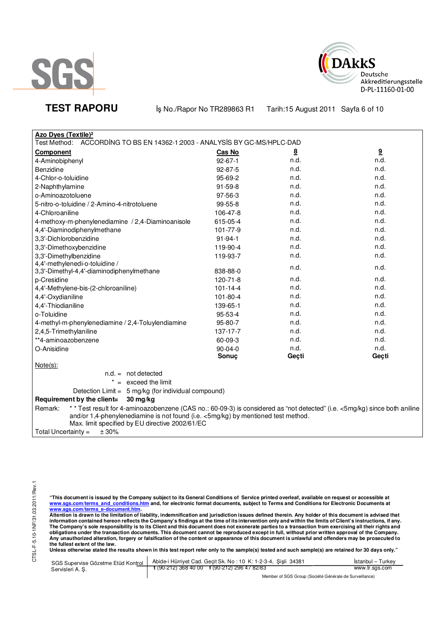



**TEST RAPORU** iş No./Rapor No TR289863 R1 Tarih:15 August 2011 Sayfa 6 of 10

| <b>Azo Dyes (Textile)<sup>2</sup></b><br>Test Method: ACCORDING TO BS EN 14362-1:2003 - ANALYSIS BY GC-MS/HPLC-DAD<br>9<br>8<br>Cas No<br><b>Component</b><br>n.d.<br>n.d.<br>4-Aminobiphenyl<br>$92 - 67 - 1$                                                                |  |
|-------------------------------------------------------------------------------------------------------------------------------------------------------------------------------------------------------------------------------------------------------------------------------|--|
|                                                                                                                                                                                                                                                                               |  |
|                                                                                                                                                                                                                                                                               |  |
|                                                                                                                                                                                                                                                                               |  |
| n.d.<br>n.d.<br>$92 - 87 - 5$<br>Benzidine                                                                                                                                                                                                                                    |  |
| n.d.<br>n.d.<br>4-Chlor-o-toluidine<br>95-69-2                                                                                                                                                                                                                                |  |
| n.d.<br>91-59-8<br>n.d.<br>2-Naphthylamine                                                                                                                                                                                                                                    |  |
| n.d.<br>n.d.<br>97-56-3<br>o-Aminoazotoluene                                                                                                                                                                                                                                  |  |
| n.d.<br>n.d.<br>5-nitro-o-toluidine / 2-Amino-4-nitrotoluene<br>99-55-8                                                                                                                                                                                                       |  |
| n.d.<br>n.d.<br>4-Chloroaniline<br>106-47-8                                                                                                                                                                                                                                   |  |
| n.d.<br>n.d.<br>4-methoxy-m-phenylenediamine / 2,4-Diaminoanisole<br>615-05-4                                                                                                                                                                                                 |  |
| n.d.<br>n.d.<br>101-77-9<br>4,4'-Diaminodiphenylmethane                                                                                                                                                                                                                       |  |
| 3,3'-Dichlorobenzidine<br>n.d.<br>n.d.<br>$91 - 94 - 1$                                                                                                                                                                                                                       |  |
| n.d.<br>n.d.<br>3,3'-Dimethoxybenzidine<br>119-90-4                                                                                                                                                                                                                           |  |
| n.d.<br>n.d.<br>3,3'-Dimethylbenzidine<br>119-93-7                                                                                                                                                                                                                            |  |
| 4,4'-methylenedi-o-toluidine /<br>n.d.<br>n.d.                                                                                                                                                                                                                                |  |
| 3,3'-Dimethyl-4,4'-diaminodiphenylmethane<br>838-88-0                                                                                                                                                                                                                         |  |
| n.d.<br>p-Cresidine<br>120-71-8<br>n.d.                                                                                                                                                                                                                                       |  |
| n.d.<br>4,4'-Methylene-bis-(2-chloroaniline)<br>$101 - 14 - 4$<br>n.d.                                                                                                                                                                                                        |  |
| n.d.<br>4,4'-Oxydianiline<br>101-80-4<br>n.d.                                                                                                                                                                                                                                 |  |
| n.d.<br>n.d.<br>4,4'-Thiodianiline<br>139-65-1                                                                                                                                                                                                                                |  |
| n.d.<br>n.d.<br>o-Toluidine<br>95-53-4                                                                                                                                                                                                                                        |  |
| n.d.<br>n.d.<br>95-80-7<br>4-methyl-m-phenylenediamine / 2,4-Toluylendiamine                                                                                                                                                                                                  |  |
| n.d.<br>n.d.<br>2,4,5-Trimethylaniline<br>137-17-7                                                                                                                                                                                                                            |  |
| n.d.<br>n.d.<br>**4-aminoazobenzene<br>60-09-3                                                                                                                                                                                                                                |  |
| n.d.<br>n.d.<br>O-Anisidine<br>$90 - 04 - 0$                                                                                                                                                                                                                                  |  |
| Sonuç<br>Geçti<br>Geçti                                                                                                                                                                                                                                                       |  |
| Note(s):                                                                                                                                                                                                                                                                      |  |
| $n.d. = not detected$                                                                                                                                                                                                                                                         |  |
| $* =$ exceed the limit                                                                                                                                                                                                                                                        |  |
| Detection Limit = 5 mg/kg (for individual compound)                                                                                                                                                                                                                           |  |
| Requirement by the client=<br>30 mg/kg                                                                                                                                                                                                                                        |  |
| * * Test result for 4-aminoazobenzene (CAS no.: 60-09-3) is considered as "not detected" (i.e. <5mg/kg) since both aniline<br>Remark:<br>and/or 1,4-phenylenediamine is not found (i.e. <5mg/kg) by mentioned test method.<br>Max. limit specified by EU directive 2002/61/EC |  |
| Total Uncertainty =<br>± 30%                                                                                                                                                                                                                                                  |  |

"This document is issued by the Company subject to its General Conditions of Service printed overleaf, available on request or accessible at<br>www.sgs.com/terms\_and\_conditions.htm\_and, for electronic format documents, subjec

<u>www.sgs.com/terms\_e-document.htm.</u><br>Attention is drawn to the limitation of liability, indemnification and jurisdiction issues defined therein. Any holder of this document is advised that<br>information contained hereon refle obligations under the transaction documents. This document cannot be reproduced except in full, without prior written approval of the Company.<br>Any unauthorized alteration, forgery or falsification of the content or appeara

**Unless otherwise stated the results shown in this test report refer only to the sample(s) tested and such sample(s) are retained for 30 days only."** 

| Servisleri A. S. | SGS Supervise Gözetme Etüd Kontrol   Abide-i Hürriyet Cad. Geçit Sk. No : 10 K: 1-2-3-4, Şişli 34381 | <b>Istanbul</b> – Turkey |
|------------------|------------------------------------------------------------------------------------------------------|--------------------------|
|                  | $\frac{1}{2}$ (90-212) 368 40 00 f (90-212) 296 47 82/83                                             | www.tr.sgs.com           |
|                  |                                                                                                      |                          |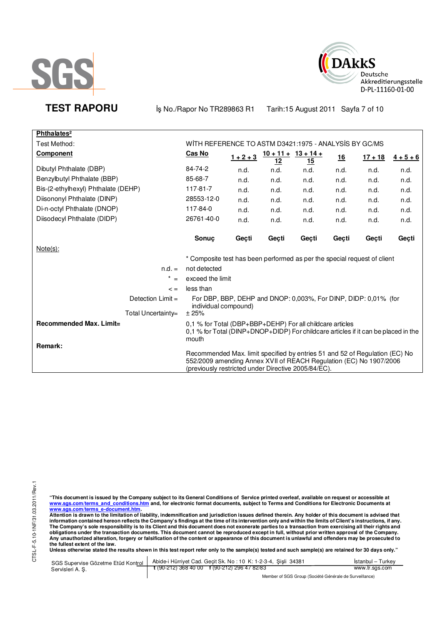



**TEST RAPORU By No./Rapor No TR289863 R1 Tarih:15 August 2011 Sayfa 7 of 10** 

| Phthalates <sup>2</sup>             |                                                                                                                                                                                                          |             |                                     |       |           |           |                   |
|-------------------------------------|----------------------------------------------------------------------------------------------------------------------------------------------------------------------------------------------------------|-------------|-------------------------------------|-------|-----------|-----------|-------------------|
| Test Method:                        | WITH REFERENCE TO ASTM D3421:1975 - ANALYSIS BY GC/MS                                                                                                                                                    |             |                                     |       |           |           |                   |
| Component                           | Cas No                                                                                                                                                                                                   | $1 + 2 + 3$ | $10 + 11 + 13 + 14 +$<br><u> 12</u> | 15    | <u>16</u> | $17 + 18$ | $\frac{4+5+6}{6}$ |
| Dibutyl Phthalate (DBP)             | 84-74-2                                                                                                                                                                                                  | n.d.        | n.d.                                | n.d.  | n.d.      | n.d.      | n.d.              |
| Benzylbutyl Phthalate (BBP)         | 85-68-7                                                                                                                                                                                                  | n.d.        | n.d.                                | n.d.  | n.d.      | n.d.      | n.d.              |
| Bis-(2-ethylhexyl) Phthalate (DEHP) | 117-81-7                                                                                                                                                                                                 | n.d.        | n.d.                                | n.d.  | n.d.      | n.d.      | n.d.              |
| Diisononyl Phthalate (DINP)         | 28553-12-0                                                                                                                                                                                               | n.d.        | n.d.                                | n.d.  | n.d.      | n.d.      | n.d.              |
| Di-n-octyl Phthalate (DNOP)         | 117-84-0                                                                                                                                                                                                 | n.d.        | n.d.                                | n.d.  | n.d.      | n.d.      | n.d.              |
| Diisodecyl Phthalate (DIDP)         | 26761-40-0                                                                                                                                                                                               | n.d.        | n.d.                                | n.d.  | n.d.      | n.d.      | n.d.              |
|                                     | Sonuc                                                                                                                                                                                                    | Geçti       | Geçti                               | Geçti | Geçti     | Gecti     | Geçti             |
| Note(s):                            |                                                                                                                                                                                                          |             |                                     |       |           |           |                   |
|                                     | * Composite test has been performed as per the special request of client                                                                                                                                 |             |                                     |       |           |           |                   |
| $n.d. =$                            | not detected                                                                                                                                                                                             |             |                                     |       |           |           |                   |
| $* =$                               | exceed the limit                                                                                                                                                                                         |             |                                     |       |           |           |                   |
| $\leq$ =                            | less than                                                                                                                                                                                                |             |                                     |       |           |           |                   |
| Detection $Limit =$                 | For DBP, BBP, DEHP and DNOP: 0.003%, For DINP, DIDP: 0.01% (for<br>individual compound)                                                                                                                  |             |                                     |       |           |           |                   |
| Total Uncertainty=                  | ±25%                                                                                                                                                                                                     |             |                                     |       |           |           |                   |
| Recommended Max. Limit=<br>Remark:  | 0.1 % for Total (DBP+BBP+DEHP) For all childcare articles<br>0.1 % for Total (DINP+DNOP+DIDP) For childcare articles if it can be placed in the<br>mouth                                                 |             |                                     |       |           |           |                   |
|                                     | Recommended Max. limit specified by entries 51 and 52 of Regulation (EC) No<br>552/2009 amending Annex XVII of REACH Regulation (EC) No 1907/2006<br>(previously restricted under Directive 2005/84/EC). |             |                                     |       |           |           |                   |

"This document is issued by the Company subject to its General Conditions of Service printed overleaf, available on request or accessible at<br>www.sgs.com/terms\_and\_conditions.htm\_and, for electronic format documents, subjec

<u>www.sgs.com/terms\_e-document.htm.</u><br>Attention is drawn to the limitation of liability, indemnification and jurisdiction issues defined therein. Any holder of this document is advised that<br>information contained hereon refle obligations under the transaction documents. This document cannot be reproduced except in full, without prior written approval of the Company.<br>Any unauthorized alteration, forgery or falsification of the content or appeara

**Unless otherwise stated the results shown in this test report refer only to the sample(s) tested and such sample(s) are retained for 30 days only."** 

| SGS Supervise Gözetme Etüd Kontrol  <br>Servisleri A. S. | Abide-i Hürriyet Cad. Gecit Sk. No: 10 K: 1-2-3-4, Sisli 34381 | Istanbul – Turkev |
|----------------------------------------------------------|----------------------------------------------------------------|-------------------|
|                                                          | $\frac{1}{2}$ (90-212) 368 40 00 f (90-212) 296 47 82/83       | www.tr.sgs.com    |
|                                                          | Member of SGS Group (Société Générale de Surveillance)         |                   |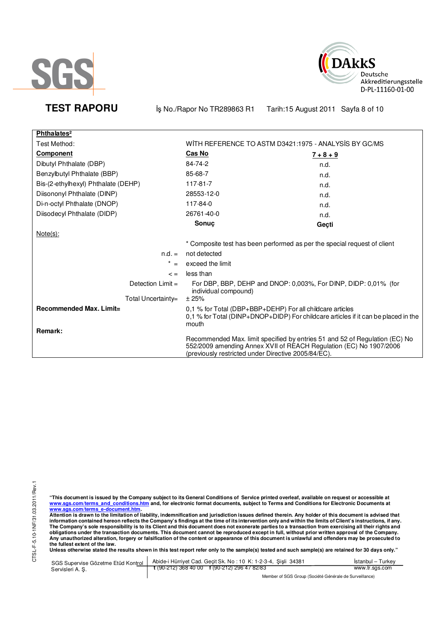



**TEST RAPORU** iş No./Rapor No TR289863 R1 Tarih:15 August 2011 Sayfa 8 of 10

| Phthalates <sup>2</sup>             |                                                                                                                                                                                                          |             |  |
|-------------------------------------|----------------------------------------------------------------------------------------------------------------------------------------------------------------------------------------------------------|-------------|--|
| Test Method:                        | WITH REFERENCE TO ASTM D3421:1975 - ANALYSIS BY GC/MS                                                                                                                                                    |             |  |
| <b>Component</b>                    | Cas No                                                                                                                                                                                                   | $7 + 8 + 9$ |  |
| Dibutyl Phthalate (DBP)             | 84-74-2                                                                                                                                                                                                  | n.d.        |  |
| Benzylbutyl Phthalate (BBP)         | 85-68-7                                                                                                                                                                                                  | n.d.        |  |
| Bis-(2-ethylhexyl) Phthalate (DEHP) | 117-81-7                                                                                                                                                                                                 | n.d.        |  |
| Diisononyl Phthalate (DINP)         | 28553-12-0                                                                                                                                                                                               | n.d.        |  |
| Di-n-octyl Phthalate (DNOP)         | 117-84-0                                                                                                                                                                                                 | n.d.        |  |
| Diisodecyl Phthalate (DIDP)         | 26761-40-0                                                                                                                                                                                               | n.d.        |  |
|                                     | Sonuç                                                                                                                                                                                                    | Geçti       |  |
| $Note(s)$ :                         |                                                                                                                                                                                                          |             |  |
|                                     | * Composite test has been performed as per the special request of client                                                                                                                                 |             |  |
| $n.d. =$                            | not detected                                                                                                                                                                                             |             |  |
| $^{\star}$<br>$=$                   | exceed the limit                                                                                                                                                                                         |             |  |
| $\leq$ $=$                          | less than                                                                                                                                                                                                |             |  |
| Detection $Limit =$                 | For DBP, BBP, DEHP and DNOP: 0,003%, For DINP, DIDP: 0,01% (for<br>individual compound)                                                                                                                  |             |  |
| Total Uncertainty=                  | ± 25%                                                                                                                                                                                                    |             |  |
| Recommended Max. Limit=<br>Remark:  | 0.1 % for Total (DBP+BBP+DEHP) For all childcare articles<br>0,1 % for Total (DINP+DNOP+DIDP) For childcare articles if it can be placed in the<br>mouth                                                 |             |  |
|                                     | Recommended Max. limit specified by entries 51 and 52 of Regulation (EC) No<br>552/2009 amending Annex XVII of REACH Regulation (EC) No 1907/2006<br>(previously restricted under Directive 2005/84/EC). |             |  |

"This document is issued by the Company subject to its General Conditions of Service printed overleaf, available on request or accessible at<br>www.sgs.com/terms\_and\_conditions.htm\_and, for electronic format documents, subjec

<u>www.sgs.com/terms\_e-document.htm.</u><br>Attention is drawn to the limitation of liability, indemnification and jurisdiction issues defined therein. Any holder of this document is advised that<br>information contained hereon refle obligations under the transaction documents. This document cannot be reproduced except in full, without prior written approval of the Company.<br>Any unauthorized alteration, forgery or falsification of the content or appeara

**Unless otherwise stated the results shown in this test report refer only to the sample(s) tested and such sample(s) are retained for 30 days only."** 

| SGS Supervise Gözetme Etüd Kontrol  <br>Servisleri A. S. | Abide-i Hürriyet Cad. Geçit Sk. No: 10 K: 1-2-3-4, Şişli 34381       | Istanbul – Turkey |
|----------------------------------------------------------|----------------------------------------------------------------------|-------------------|
|                                                          | $\frac{1}{2}$ (90-212) 368 40 00 $\frac{1}{2}$ (90-212) 296 47 82/83 | www.tr.sas.com    |
|                                                          |                                                                      |                   |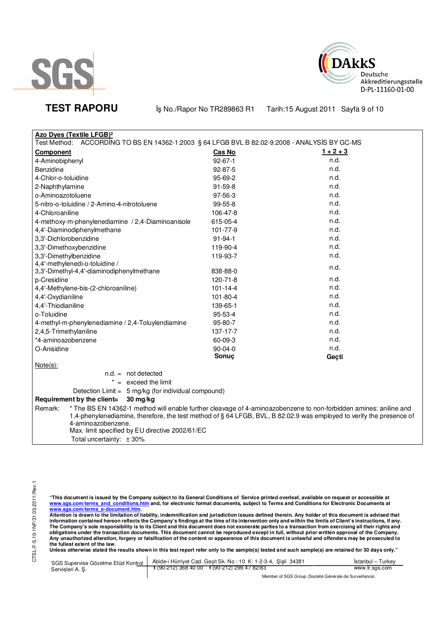



**TEST RAPORU** iş No./Rapor No TR289863 R1 Tarih:15 August 2011 Sayfa 9 of 10

| <b>Azo Dyes (Textile LFGB)<sup>2</sup></b>                                                                                                 |                |                                                                                                                   |  |  |
|--------------------------------------------------------------------------------------------------------------------------------------------|----------------|-------------------------------------------------------------------------------------------------------------------|--|--|
| Test Method:<br>ACCORDING TO BS EN 14362-1:2003 § 64 LFGB BVL B 82.02-9:2008 - ANALYSIS BY GC-MS                                           |                |                                                                                                                   |  |  |
| <b>Component</b>                                                                                                                           | Cas No         | $1 + 2 + 3$                                                                                                       |  |  |
| 4-Aminobiphenyl                                                                                                                            | $92 - 67 - 1$  | n.d.                                                                                                              |  |  |
| Benzidine                                                                                                                                  | $92 - 87 - 5$  | n.d.                                                                                                              |  |  |
| 4-Chlor-o-toluidine                                                                                                                        | 95-69-2        | n.d.                                                                                                              |  |  |
| 2-Naphthylamine                                                                                                                            | $91 - 59 - 8$  | n.d.                                                                                                              |  |  |
| o-Aminoazotoluene                                                                                                                          | 97-56-3        | n.d.                                                                                                              |  |  |
| 5-nitro-o-toluidine / 2-Amino-4-nitrotoluene                                                                                               | 99-55-8        | n.d.                                                                                                              |  |  |
| 4-Chloroaniline                                                                                                                            | 106-47-8       | n.d.                                                                                                              |  |  |
| 4-methoxy-m-phenylenediamine / 2,4-Diaminoanisole                                                                                          | 615-05-4       | n.d.                                                                                                              |  |  |
| 4,4'-Diaminodiphenylmethane                                                                                                                | 101-77-9       | n.d.                                                                                                              |  |  |
| 3,3'-Dichlorobenzidine                                                                                                                     | $91 - 94 - 1$  | n.d.                                                                                                              |  |  |
| 3,3'-Dimethoxybenzidine                                                                                                                    | 119-90-4       | n.d.                                                                                                              |  |  |
| 3,3'-Dimethylbenzidine                                                                                                                     | 119-93-7       | n.d.                                                                                                              |  |  |
| 4,4'-methylenedi-o-toluidine /                                                                                                             |                | n.d.                                                                                                              |  |  |
| 3,3'-Dimethyl-4,4'-diaminodiphenylmethane                                                                                                  | 838-88-0       |                                                                                                                   |  |  |
| p-Cresidine                                                                                                                                | 120-71-8       | n.d.                                                                                                              |  |  |
| 4,4'-Methylene-bis-(2-chloroaniline)                                                                                                       | $101 - 14 - 4$ | n.d.                                                                                                              |  |  |
| 4,4'-Oxydianiline                                                                                                                          | 101-80-4       | n.d.                                                                                                              |  |  |
| 4,4'-Thiodianiline                                                                                                                         | 139-65-1       | n.d.                                                                                                              |  |  |
| o-Toluidine                                                                                                                                | $95 - 53 - 4$  | n.d.                                                                                                              |  |  |
| 4-methyl-m-phenylenediamine / 2,4-Toluylendiamine                                                                                          | 95-80-7        | n.d.                                                                                                              |  |  |
| 2,4,5-Trimethylaniline                                                                                                                     | 137-17-7       | n.d.                                                                                                              |  |  |
| *4-aminoazobenzene                                                                                                                         | 60-09-3        | n.d.                                                                                                              |  |  |
| O-Anisidine                                                                                                                                | $90 - 04 - 0$  | n.d.                                                                                                              |  |  |
|                                                                                                                                            | Sonuç          | Geçti                                                                                                             |  |  |
| $Note(s)$ :                                                                                                                                |                |                                                                                                                   |  |  |
| $n.d. = not detected$                                                                                                                      |                |                                                                                                                   |  |  |
| $* =$ exceed the limit                                                                                                                     |                |                                                                                                                   |  |  |
| Detection Limit = 5 mg/kg (for individual compound)                                                                                        |                |                                                                                                                   |  |  |
| Requirement by the client=<br>30 mg/kg                                                                                                     |                |                                                                                                                   |  |  |
| Remark:                                                                                                                                    |                | * The BS EN 14362-1 method will enable further cleavage of 4-aminoazobenzene to non-forbidden amines: aniline and |  |  |
| 1,4-phenylenediamine, therefore, the test method of § 64 LFGB, BVL, B 82.02.9 was employed to verify the presence of<br>4-aminoazobenzene. |                |                                                                                                                   |  |  |
| Max. limit specified by EU directive 2002/61/EC                                                                                            |                |                                                                                                                   |  |  |
| Total uncertainty: $\pm 30\%$                                                                                                              |                |                                                                                                                   |  |  |
|                                                                                                                                            |                |                                                                                                                   |  |  |

"This document is issued by the Company subject to its General Conditions of Service printed overleaf, available on request or accessible at<br>www.sgs.com/terms\_and\_conditions.htm\_and, for electronic format documents, subjec

<u>www.sgs.com/terms\_e-document.htm.</u><br>Attention is drawn to the limitation of liability, indemnification and jurisdiction issues defined therein. Any holder of this document is advised that<br>information contained hereon refle obligations under the transaction documents. This document cannot be reproduced except in full, without prior written approval of the Company.<br>Any unauthorized alteration, forgery or falsification of the content or appeara

**Unless otherwise stated the results shown in this test report refer only to the sample(s) tested and such sample(s) are retained for 30 days only."** 

|                 | SGS Supervise Gözetme Etüd Kontrol   Abide-i Hürriyet Cad. Geçit Sk. No: 10 K: 1-2-3-4, Şişli 34381                  | <b>Istanbul</b> – Turkey |
|-----------------|----------------------------------------------------------------------------------------------------------------------|--------------------------|
| Servisleri A.S. | $\frac{1}{2}$ (90-212) 368 40 00 f (90-212) 296 47 82/83                                                             | www.tr.sgs.com           |
|                 | $M_{\rm{2}}$ . The set of $\Omega$ and $\Omega$ is the set of $\Omega$ is the set of $\Omega$ is the set of $\Omega$ |                          |